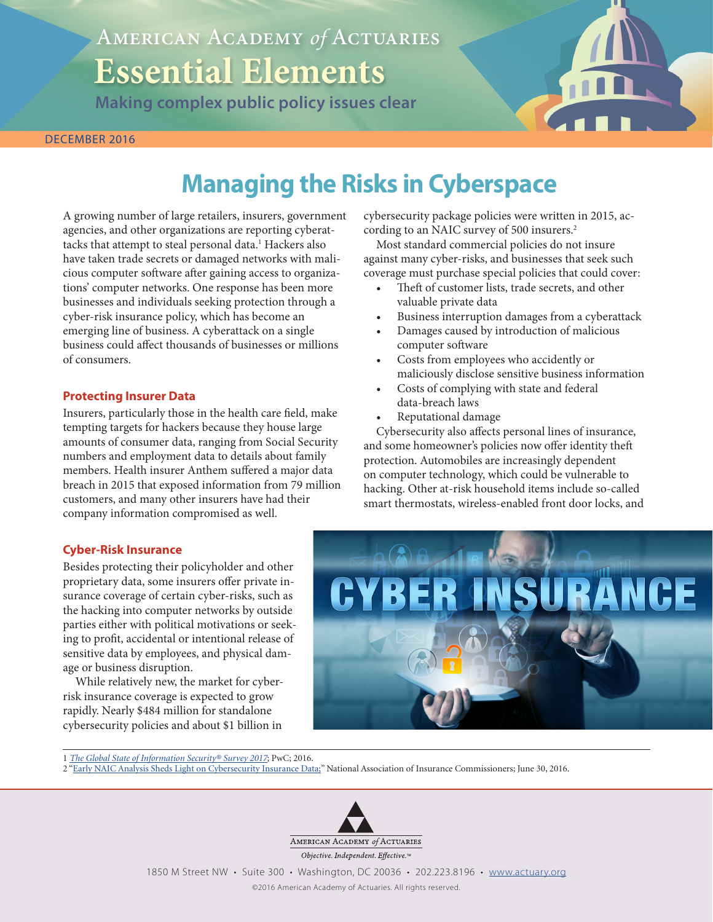# American Academy *of* Actuaries **Essential Elements**

**Making complex public policy issues clear**



# **Managing the Risks in Cyberspace**

A growing number of large retailers, insurers, government agencies, and other organizations are reporting cyberattacks that attempt to steal personal data.<sup>1</sup> Hackers also have taken trade secrets or damaged networks with malicious computer software after gaining access to organizations' computer networks. One response has been more businesses and individuals seeking protection through a cyber-risk insurance policy, which has become an emerging line of business. A cyberattack on a single business could affect thousands of businesses or millions of consumers.

### **Protecting Insurer Data**

Insurers, particularly those in the health care field, make tempting targets for hackers because they house large amounts of consumer data, ranging from Social Security numbers and employment data to details about family members. Health insurer Anthem suffered a major data breach in 2015 that exposed information from 79 million customers, and many other insurers have had their company information compromised as well.

cybersecurity package policies were written in 2015, according to an NAIC survey of 500 insurers.2

Most standard commercial policies do not insure against many cyber-risks, and businesses that seek such coverage must purchase special policies that could cover:

- Theft of customer lists, trade secrets, and other valuable private data
- Business interruption damages from a cyberattack
- Damages caused by introduction of malicious computer software
- Costs from employees who accidently or maliciously disclose sensitive business information
- Costs of complying with state and federal data-breach laws
- Reputational damage

Cybersecurity also affects personal lines of insurance, and some homeowner's policies now offer identity theft protection. Automobiles are increasingly dependent on computer technology, which could be vulnerable to hacking. Other at-risk household items include so-called smart thermostats, wireless-enabled front door locks, and

## **Cyber-Risk Insurance**

Besides protecting their policyholder and other proprietary data, some insurers offer private insurance coverage of certain cyber-risks, such as the hacking into computer networks by outside parties either with political motivations or seeking to profit, accidental or intentional release of sensitive data by employees, and physical damage or business disruption.

While relatively new, the market for cyberrisk insurance coverage is expected to grow rapidly. Nearly \$484 million for standalone cybersecurity policies and about \$1 billion in



1 *[The Global State of Information Security® Survey 2017](http://www.pwc.com/gx/en/issues/cyber-security/information-security-survey.html)*; PwC; 2016.

2 "[Early NAIC Analysis Sheds Light on Cybersecurity Insurance Data;](http://www.naic.org/Releases/2016_docs/cybersecurity_insurance_data_analysis.htm)" National Association of Insurance Commissioners; June 30, 2016.



1850 M Street NW • Suite 300 • Washington, DC 20036 • 202.223.8196 • <www.actuary.org>

©2016 American Academy of Actuaries. All rights reserved.